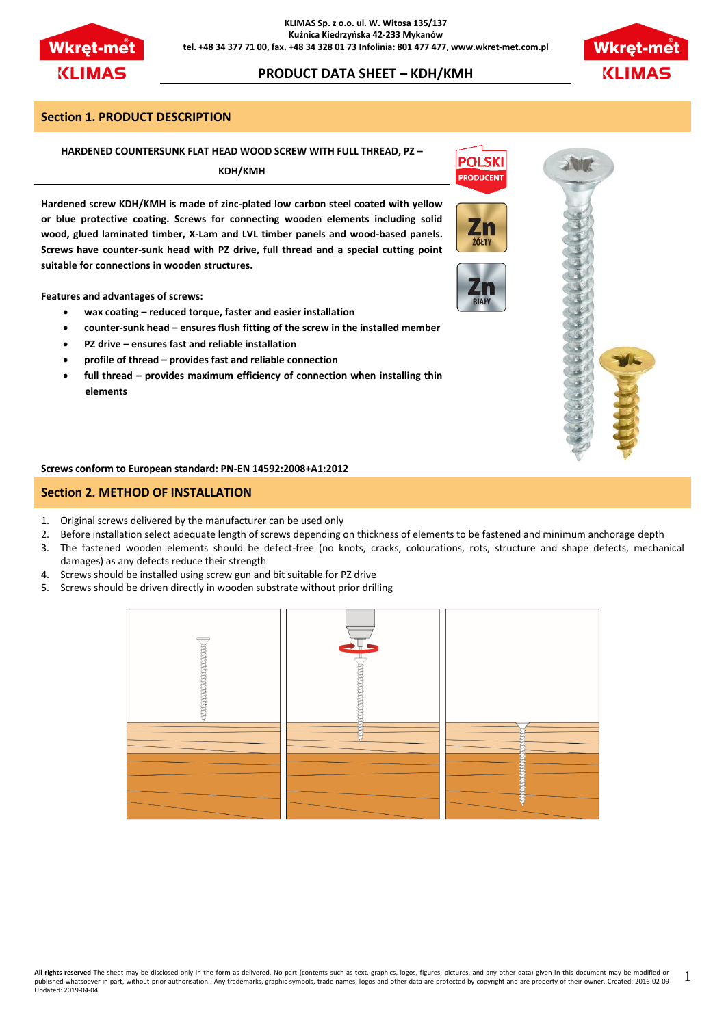

# **PRODUCT DATA SHEET – KDH/KMH**



#### **Section 1. PRODUCT DESCRIPTION**

#### **HARDENED COUNTERSUNK FLAT HEAD WOOD SCREW WITH FULL THREAD, PZ –**

**KDH/KMH**

**Hardened screw KDH/KMH is made of zinc-plated low carbon steel coated with yellow or blue protective coating. Screws for connecting wooden elements including solid wood, glued laminated timber, X-Lam and LVL timber panels and wood-based panels. Screws have counter-sunk head with PZ drive, full thread and a special cutting point suitable for connections in wooden structures.**

**Features and advantages of screws:**

- **wax coating – reduced torque, faster and easier installation**
- **counter-sunk head – ensures flush fitting of the screw in the installed member**
- **PZ drive – ensures fast and reliable installation**
- **profile of thread – provides fast and reliable connection**
- **full thread – provides maximum efficiency of connection when installing thin elements**

**Screws conform to European standard: PN-EN 14592:2008+A1:2012**

## **Section 2. METHOD OF INSTALLATION**

- 1. Original screws delivered by the manufacturer can be used only
- 2. Before installation select adequate length of screws depending on thickness of elements to be fastened and minimum anchorage depth
- 3. The fastened wooden elements should be defect-free (no knots, cracks, colourations, rots, structure and shape defects, mechanical damages) as any defects reduce their strength
- 4. Screws should be installed using screw gun and bit suitable for PZ drive
- 5. Screws should be driven directly in wooden substrate without prior drilling





**POLSKI PRODUCEN** 

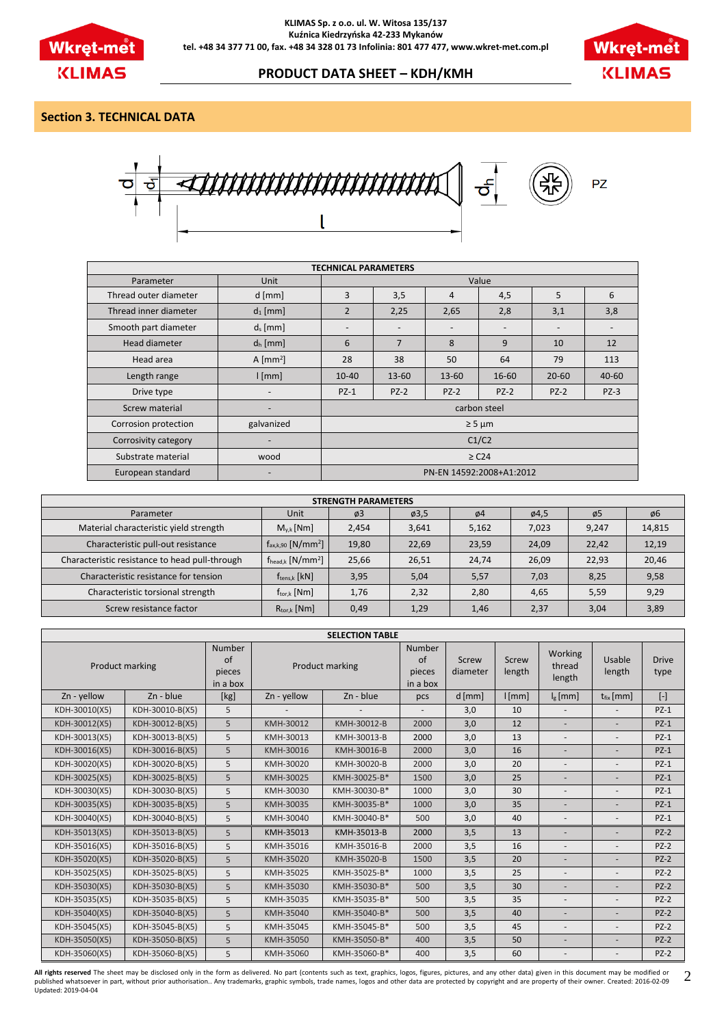



## **PRODUCT DATA SHEET – KDH/KMH**

## **Section 3. TECHNICAL DATA**



| <b>TECHNICAL PARAMETERS</b> |                          |                                                                                |                |                 |                          |           |           |  |  |
|-----------------------------|--------------------------|--------------------------------------------------------------------------------|----------------|-----------------|--------------------------|-----------|-----------|--|--|
| Parameter                   | Unit                     | Value                                                                          |                |                 |                          |           |           |  |  |
| Thread outer diameter       | $d$ [mm]                 | 3                                                                              | 3,5            | 4               | 4,5                      | 5         | 6         |  |  |
| Thread inner diameter       | $d_1$ [mm]               | $\overline{2}$                                                                 | 2,25           | 2,65            | 2,8                      | 3,1       | 3,8       |  |  |
| Smooth part diameter        | $d_s$ [mm]               | $\overline{\phantom{a}}$                                                       | -              | $\qquad \qquad$ | $\overline{\phantom{a}}$ | -         |           |  |  |
| Head diameter               | $d_h$ [mm]               | 6                                                                              | $\overline{7}$ | 8               | 9                        | 10        | 12        |  |  |
| Head area                   | A $\text{[mm]}$          | 28                                                                             | 38             | 50              | 64                       | 79        | 113       |  |  |
| Length range                | [mm]                     | $10 - 40$                                                                      | $13 - 60$      | 13-60           | 16-60                    | $20 - 60$ | $40 - 60$ |  |  |
| Drive type                  | $\overline{\phantom{a}}$ | $PZ-1$                                                                         | $PZ-2$         | $PZ-2$          | $PZ-2$                   | $PZ-2$    | $PZ-3$    |  |  |
| Screw material              |                          |                                                                                |                |                 |                          |           |           |  |  |
| Corrosion protection        | galvanized               |                                                                                |                |                 |                          |           |           |  |  |
| Corrosivity category        |                          |                                                                                |                |                 |                          |           |           |  |  |
| Substrate material          | wood                     | carbon steel<br>$\geq$ 5 µm<br>C1/C2<br>$\geq$ C24<br>PN-EN 14592:2008+A1:2012 |                |                 |                          |           |           |  |  |
| European standard           |                          |                                                                                |                |                 |                          |           |           |  |  |

| <b>STRENGTH PARAMETERS</b>                     |                                    |       |               |               |               |                 |        |  |  |
|------------------------------------------------|------------------------------------|-------|---------------|---------------|---------------|-----------------|--------|--|--|
| Parameter                                      | Unit                               | Ø3    | $\varphi$ 3,5 | $\emptyset$ 4 | $\varphi$ 4,5 | $\varnothing$ 5 | ø6     |  |  |
| Material characteristic yield strength         | $M_{v,k}$ [Nm]                     | 2,454 | 3,641         | 5,162         | 7,023         | 9,247           | 14,815 |  |  |
| Characteristic pull-out resistance             | $f_{ax,k,90}$ [N/mm <sup>2</sup> ] | 19,80 | 22,69         | 23,59         | 24,09         | 22,42           | 12,19  |  |  |
| Characteristic resistance to head pull-through | $f_{head,k}$ [N/mm <sup>2</sup> ]  | 25,66 | 26,51         | 24,74         | 26,09         | 22,93           | 20,46  |  |  |
| Characteristic resistance for tension          | $f_{tens,k}$ [ $kN$ ]              | 3,95  | 5,04          | 5,57          | 7,03          | 8,25            | 9,58   |  |  |
| Characteristic torsional strength              | $f_{\text{tor.}k}$ [Nm]            | 1,76  | 2,32          | 2,80          | 4,65          | 5,59            | 9,29   |  |  |
| Screw resistance factor                        | $R_{\text{tor},k}$ [Nm]            | 0,49  | 1,29          | 1,46          | 2,37          | 3,04            | 3,89   |  |  |

| <b>SELECTION TABLE</b> |                 |                                           |                 |              |                                           |                   |                 |                             |                          |                      |
|------------------------|-----------------|-------------------------------------------|-----------------|--------------|-------------------------------------------|-------------------|-----------------|-----------------------------|--------------------------|----------------------|
| Product marking        |                 | <b>Number</b><br>of<br>pieces<br>in a box | Product marking |              | <b>Number</b><br>of<br>pieces<br>in a box | Screw<br>diameter | Screw<br>length | Working<br>thread<br>length | Usable<br>length         | <b>Drive</b><br>type |
| Zn - yellow            | Zn - blue       | [kg]                                      | Zn - yellow     | Zn - blue    | pcs                                       | $d$ [mm]          | [mm]            | $I_g$ [mm]                  | $t_{fix}$ [mm]           | $[\cdot]$            |
| KDH-30010(X5)          | KDH-30010-B(X5) | 5                                         |                 |              |                                           | 3,0               | 10              | $\overline{\phantom{a}}$    | $\overline{\phantom{a}}$ | $PZ-1$               |
| KDH-30012(X5)          | KDH-30012-B(X5) | 5                                         | KMH-30012       | KMH-30012-B  | 2000                                      | 3,0               | 12              | $\blacksquare$              | $\overline{\phantom{a}}$ | $PZ-1$               |
| KDH-30013(X5)          | KDH-30013-B(X5) | 5                                         | KMH-30013       | KMH-30013-B  | 2000                                      | 3,0               | 13              | $\overline{\phantom{a}}$    | $\overline{\phantom{a}}$ | $PZ-1$               |
| KDH-30016(X5)          | KDH-30016-B(X5) | 5                                         | KMH-30016       | KMH-30016-B  | 2000                                      | 3,0               | 16              | $\sim$                      | $\overline{\phantom{a}}$ | $PZ-1$               |
| KDH-30020(X5)          | KDH-30020-B(X5) | 5                                         | KMH-30020       | KMH-30020-B  | 2000                                      | 3,0               | 20              | $\overline{\phantom{a}}$    | $\overline{\phantom{a}}$ | $PZ-1$               |
| KDH-30025(X5)          | KDH-30025-B(X5) | 5                                         | KMH-30025       | KMH-30025-B* | 1500                                      | 3,0               | 25              | $\sim$                      | $\overline{\phantom{a}}$ | $PZ-1$               |
| KDH-30030(X5)          | KDH-30030-B(X5) | 5                                         | KMH-30030       | KMH-30030-B* | 1000                                      | 3,0               | 30              | $\overline{\phantom{a}}$    | $\overline{\phantom{a}}$ | $PZ-1$               |
| KDH-30035(X5)          | KDH-30035-B(X5) | 5                                         | KMH-30035       | KMH-30035-B* | 1000                                      | 3,0               | 35              | $\overline{\phantom{a}}$    | ÷.                       | $PZ-1$               |
| KDH-30040(X5)          | KDH-30040-B(X5) | 5                                         | KMH-30040       | KMH-30040-B* | 500                                       | 3,0               | 40              | $\overline{\phantom{a}}$    | $\overline{\phantom{a}}$ | $PZ-1$               |
| KDH-35013(X5)          | KDH-35013-B(X5) | 5                                         | KMH-35013       | KMH-35013-B  | 2000                                      | 3,5               | 13              |                             |                          | $PZ-2$               |
| KDH-35016(X5)          | KDH-35016-B(X5) | 5                                         | KMH-35016       | KMH-35016-B  | 2000                                      | 3,5               | 16              | $\overline{\phantom{a}}$    | $\overline{a}$           | $PZ-2$               |
| KDH-35020(X5)          | KDH-35020-B(X5) | 5                                         | KMH-35020       | KMH-35020-B  | 1500                                      | 3,5               | 20              | $\sim$                      | ۰                        | $PZ-2$               |
| KDH-35025(X5)          | KDH-35025-B(X5) | 5                                         | KMH-35025       | KMH-35025-B* | 1000                                      | 3,5               | 25              | $\overline{a}$              |                          | $PZ-2$               |
| KDH-35030(X5)          | KDH-35030-B(X5) | 5                                         | KMH-35030       | KMH-35030-B* | 500                                       | 3,5               | 30              | $\sim$                      | $\overline{\phantom{a}}$ | $PZ-2$               |
| KDH-35035(X5)          | KDH-35035-B(X5) | 5                                         | KMH-35035       | KMH-35035-B* | 500                                       | 3,5               | 35              | $\overline{\phantom{a}}$    |                          | $PZ-2$               |
| KDH-35040(X5)          | KDH-35040-B(X5) | 5                                         | KMH-35040       | KMH-35040-B* | 500                                       | 3,5               | 40              | $\sim$                      | $\overline{\phantom{a}}$ | $PZ-2$               |
| KDH-35045(X5)          | KDH-35045-B(X5) | 5                                         | KMH-35045       | KMH-35045-B* | 500                                       | 3,5               | 45              | $\overline{\phantom{a}}$    |                          | $PZ-2$               |
| KDH-35050(X5)          | KDH-35050-B(X5) | 5                                         | KMH-35050       | KMH-35050-B* | 400                                       | 3,5               | 50              | $\sim$                      | $\overline{\phantom{a}}$ | $PZ-2$               |
| KDH-35060(X5)          | KDH-35060-B(X5) | 5                                         | KMH-35060       | KMH-35060-B* | 400                                       | 3,5               | 60              |                             |                          | $PZ-2$               |

**All rights reserved** The sheet may be disclosed only in the form as delivered. No part (contents such as text, graphics, logos, figures, pictures, and any other data) given in this document may be modified or<br>published wh 2